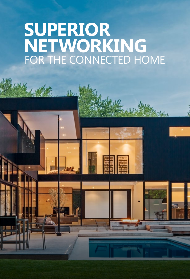# **SUPERIOR NETWORKING** FOR THE CONNECTED HOME

sb.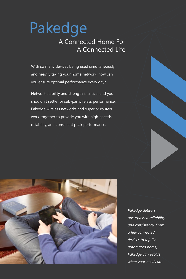# Pakedge A Connected Home For A Connected Life

With so many devices being used simultaneously and heavily taxing your home network, how can you ensure optimal performance every day?

Network stability and strength is critical and you shouldn't settle for sub-par wireless performance. Pakedge wireless networks and superior routers work together to provide you with high-speeds, reliability, and consistent peak performance.



*Pakedge delivers unsurpassed reliability and consistency. From a few connected devices to a fullyautomated home, Pakedge can evolve when your needs do.*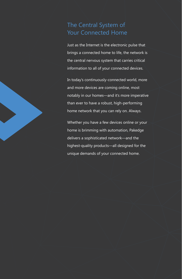# The Central System of Your Connected Home

Just as the Internet is the electronic pulse that brings a connected home to life, the network is the central nervous system that carries critical information to all of your connected devices.

In today's continuously-connected world, more and more devices are coming online, most notably in our homes—and it's more imperative than ever to have a robust, high-performing home network that you can rely on. Always.

Whether you have a few devices online or your home is brimming with automation, Pakedge delivers a sophisticated network—and the highest-quality products—all designed for the unique demands of your connected home.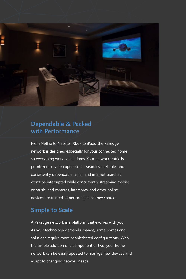

### **Dependable & Packed with Performance**

From Netflix to Napster, Xbox to iPads, the Pakedge network is designed especially for your connected home so everything works at all times. Your network traffic is prioritized so your experience is seamless, reliable, and consistently dependable. Email and internet searches won't be interrupted while concurrently streaming movies or music, and cameras, intercoms, and other online devices are trusted to perform just as they should.

# **Simple to Scale**

A Pakedge network is a platform that evolves with you. As your technology demands change, some homes and solutions require more sophisticated configurations. With the simple addition of a component or two, your home network can be easily updated to manage new devices and adapt to changing network needs.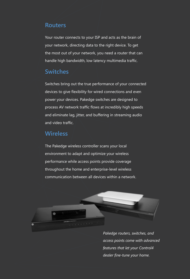#### **Routers**

Your router connects to your ISP and acts as the brain of your network, directing data to the right device. To get the most out of your network, you need a router that can handle high bandwidth, low latency multimedia traffic.

#### **Switches**

Switches bring out the true performance of your connected devices to give flexibility for wired connections and even power your devices. Pakedge switches are designed to process AV network traffic flows at incredibly high speeds and eliminate lag, jitter, and buffering in streaming audio and video traffic.

#### **Wireless**

The Pakedge wireless controller scans your local environment to adapt and optimize your wireless performance while access points provide coverage throughout the home and enterprise-level wireless communication between all devices within a network.



*Pakedge routers, switches, and access points come with advanced features that let your Control4 dealer fine-tune your home.*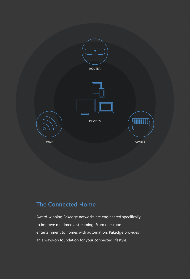

# **The Connected Home**

Award-winning Pakedge networks are engineered specifically to improve multimedia streaming. From one-room entertainment to homes with automation, Pakedge provides an always-on foundation for your connected lifestyle.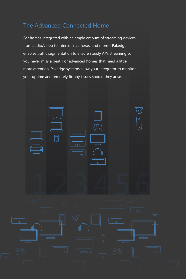# The Advanced Connected Home

For homes integrated with an ample amount of streaming devices from audio/video to intercom, cameras, and more—Pakedge enables traffic segmentation to ensure steady A/V streaming so you never miss a beat. For advanced homes that need a little more attention, Pakedge systems allow your integrator to monitor your uptime and remotely fix any issues should they arise.